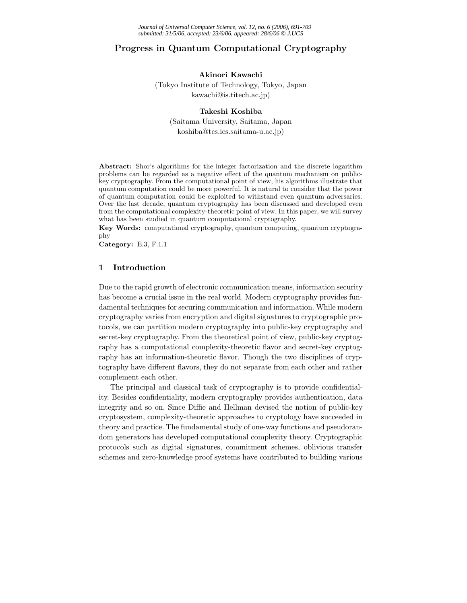# **Progress in Quantum Computational Cryptography**

## **Akinori Kawachi**

(Tokyo Institute of Technology, Tokyo, Japan kawachi@is.titech.ac.jp)

#### **Takeshi Koshiba**

(Saitama University, Saitama, Japan koshiba@tcs.ics.saitama-u.ac.jp)

**Abstract:** Shor's algorithms for the integer factorization and the discrete logarithm problems can be regarded as a negative effect of the quantum mechanism on publickey cryptography. From the computational point of view, his algorithms illustrate that quantum computation could be more powerful. It is natural to consider that the power of quantum computation could be exploited to withstand even quantum adversaries. Over the last decade, quantum cryptography has been discussed and developed even from the computational complexity-theoretic point of view. In this paper, we will survey what has been studied in quantum computational cryptography.

**Key Words:** computational cryptography, quantum computing, quantum cryptography

**Category:** E.3, F.1.1

# **1 Introduction**

Due to the rapid growth of electronic communication means, information security has become a crucial issue in the real world. Modern cryptography provides fundamental techniques for securing communication and information. While modern cryptography varies from encryption and digital signatures to cryptographic protocols, we can partition modern cryptography into public-key cryptography and secret-key cryptography. From the theoretical point of view, public-key cryptography has a computational complexity-theoretic flavor and secret-key cryptography has an information-theoretic flavor. Though the two disciplines of cryptography have different flavors, they do not separate from each other and rather complement each other.

The principal and classical task of cryptography is to provide confidentiality. Besides confidentiality, modern cryptography provides authentication, data integrity and so on. Since Diffie and Hellman devised the notion of public-key cryptosystem, complexity-theoretic approaches to cryptology have succeeded in theory and practice. The fundamental study of one-way functions and pseudorandom generators has developed computational complexity theory. Cryptographic protocols such as digital signatures, commitment schemes, oblivious transfer schemes and zero-knowledge proof systems have contributed to building various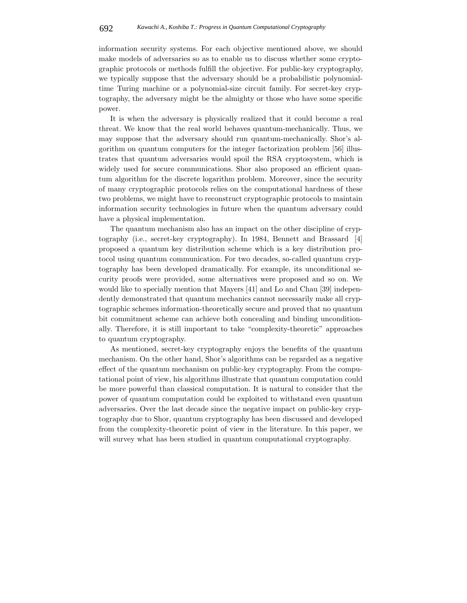information security systems. For each objective mentioned above, we should make models of adversaries so as to enable us to discuss whether some cryptographic protocols or methods fulfill the objective. For public-key cryptography, we typically suppose that the adversary should be a probabilistic polynomialtime Turing machine or a polynomial-size circuit family. For secret-key cryptography, the adversary might be the almighty or those who have some specific power.

It is when the adversary is physically realized that it could become a real threat. We know that the real world behaves quantum-mechanically. Thus, we may suppose that the adversary should run quantum-mechanically. Shor's algorithm on quantum computers for the integer factorization problem [56] illustrates that quantum adversaries would spoil the RSA cryptosystem, which is widely used for secure communications. Shor also proposed an efficient quantum algorithm for the discrete logarithm problem. Moreover, since the security of many cryptographic protocols relies on the computational hardness of these two problems, we might have to reconstruct cryptographic protocols to maintain information security technologies in future when the quantum adversary could have a physical implementation.

The quantum mechanism also has an impact on the other discipline of cryptography (i.e., secret-key cryptography). In 1984, Bennett and Brassard [4] proposed a quantum key distribution scheme which is a key distribution protocol using quantum communication. For two decades, so-called quantum cryptography has been developed dramatically. For example, its unconditional security proofs were provided, some alternatives were proposed and so on. We would like to specially mention that Mayers [41] and Lo and Chau [39] independently demonstrated that quantum mechanics cannot necessarily make all cryptographic schemes information-theoretically secure and proved that no quantum bit commitment scheme can achieve both concealing and binding unconditionally. Therefore, it is still important to take "complexity-theoretic" approaches to quantum cryptography.

As mentioned, secret-key cryptography enjoys the benefits of the quantum mechanism. On the other hand, Shor's algorithms can be regarded as a negative effect of the quantum mechanism on public-key cryptography. From the computational point of view, his algorithms illustrate that quantum computation could be more powerful than classical computation. It is natural to consider that the power of quantum computation could be exploited to withstand even quantum adversaries. Over the last decade since the negative impact on public-key cryptography due to Shor, quantum cryptography has been discussed and developed from the complexity-theoretic point of view in the literature. In this paper, we will survey what has been studied in quantum computational cryptography.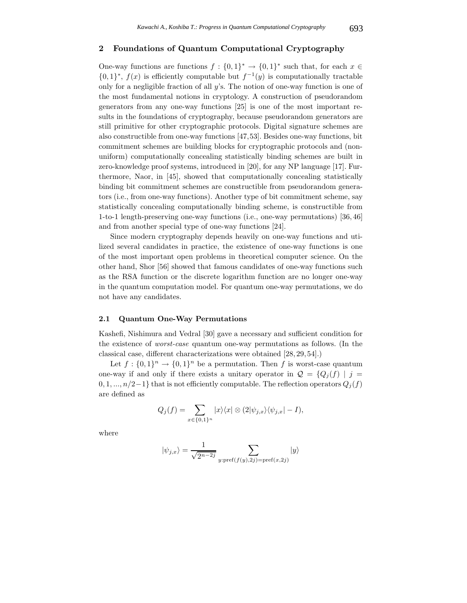#### **2 Foundations of Quantum Computational Cryptography**

One-way functions are functions  $f : \{0,1\}^* \to \{0,1\}^*$  such that, for each  $x \in$  ${0,1}^*$ ,  $f(x)$  is efficiently computable but  $f^{-1}(y)$  is computationally tractable only for a negligible fraction of all y's. The notion of one-way function is one of the most fundamental notions in cryptology. A construction of pseudorandom generators from any one-way functions [25] is one of the most important results in the foundations of cryptography, because pseudorandom generators are still primitive for other cryptographic protocols. Digital signature schemes are also constructible from one-way functions [47,53]. Besides one-way functions, bit commitment schemes are building blocks for cryptographic protocols and (nonuniform) computationally concealing statistically binding schemes are built in zero-knowledge proof systems, introduced in [20], for any NP language [17]. Furthermore, Naor, in [45], showed that computationally concealing statistically binding bit commitment schemes are constructible from pseudorandom generators (i.e., from one-way functions). Another type of bit commitment scheme, say statistically concealing computationally binding scheme, is constructible from 1-to-1 length-preserving one-way functions (i.e., one-way permutations) [36, 46] and from another special type of one-way functions [24].

Since modern cryptography depends heavily on one-way functions and utilized several candidates in practice, the existence of one-way functions is one of the most important open problems in theoretical computer science. On the other hand, Shor [56] showed that famous candidates of one-way functions such as the RSA function or the discrete logarithm function are no longer one-way in the quantum computation model. For quantum one-way permutations, we do not have any candidates.

#### **2.1 Quantum One-Way Permutations**

Kashefi, Nishimura and Vedral [30] gave a necessary and sufficient condition for the existence of *worst-case* quantum one-way permutations as follows. (In the classical case, different characterizations were obtained [28, 29, 54].)

Let  $f: \{0,1\}^n \to \{0,1\}^n$  be a permutation. Then f is worst-case quantum one-way if and only if there exists a unitary operator in  $\mathcal{Q} = \{Q_i(f) | j =$  $0, 1, \ldots, n/2-1$ } that is not efficiently computable. The reflection operators  $Q_j(f)$ are defined as

$$
Q_j(f) = \sum_{x \in \{0,1\}^n} |x\rangle\langle x| \otimes (2|\psi_{j,x}\rangle\langle\psi_{j,x}| - I),
$$

where

$$
|\psi_{j,x}\rangle = \frac{1}{\sqrt{2^{n-2j}}}\sum_{y:\text{pref}(f(y),2j)=\text{pref}(x,2j)}|y\rangle
$$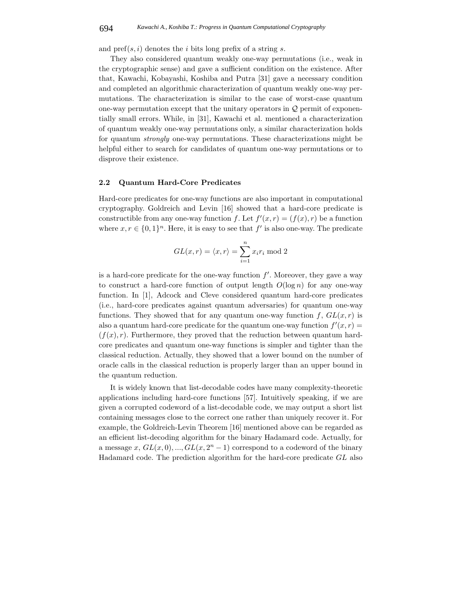and  $\text{pref}(s, i)$  denotes the *i* bits long prefix of a string *s*.

They also considered quantum weakly one-way permutations (i.e., weak in the cryptographic sense) and gave a sufficient condition on the existence. After that, Kawachi, Kobayashi, Koshiba and Putra [31] gave a necessary condition and completed an algorithmic characterization of quantum weakly one-way permutations. The characterization is similar to the case of worst-case quantum one-way permutation except that the unitary operators in  $Q$  permit of exponentially small errors. While, in [31], Kawachi et al. mentioned a characterization of quantum weakly one-way permutations only, a similar characterization holds for quantum *strongly* one-way permutations. These characterizations might be helpful either to search for candidates of quantum one-way permutations or to disprove their existence.

#### **2.2 Quantum Hard-Core Predicates**

Hard-core predicates for one-way functions are also important in computational cryptography. Goldreich and Levin [16] showed that a hard-core predicate is constructible from any one-way function f. Let  $f'(x, r) = (f(x), r)$  be a function where  $x, r \in \{0, 1\}^n$ . Here, it is easy to see that f' is also one-way. The predicate

$$
GL(x,r) = \langle x, r \rangle = \sum_{i=1}^{n} x_i r_i \bmod 2
$$

is a hard-core predicate for the one-way function  $f'$ . Moreover, they gave a way to construct a hard-core function of output length  $O(\log n)$  for any one-way function. In [1], Adcock and Cleve considered quantum hard-core predicates (i.e., hard-core predicates against quantum adversaries) for quantum one-way functions. They showed that for any quantum one-way function f,  $GL(x, r)$  is also a quantum hard-core predicate for the quantum one-way function  $f'(x, r) =$  $(f(x), r)$ . Furthermore, they proved that the reduction between quantum hardcore predicates and quantum one-way functions is simpler and tighter than the classical reduction. Actually, they showed that a lower bound on the number of oracle calls in the classical reduction is properly larger than an upper bound in the quantum reduction.

It is widely known that list-decodable codes have many complexity-theoretic applications including hard-core functions [57]. Intuitively speaking, if we are given a corrupted codeword of a list-decodable code, we may output a short list containing messages close to the correct one rather than uniquely recover it. For example, the Goldreich-Levin Theorem [16] mentioned above can be regarded as an efficient list-decoding algorithm for the binary Hadamard code. Actually, for a message x,  $GL(x,0),..., GL(x,2<sup>n</sup>-1)$  correspond to a codeword of the binary Hadamard code. The prediction algorithm for the hard-core predicate GL also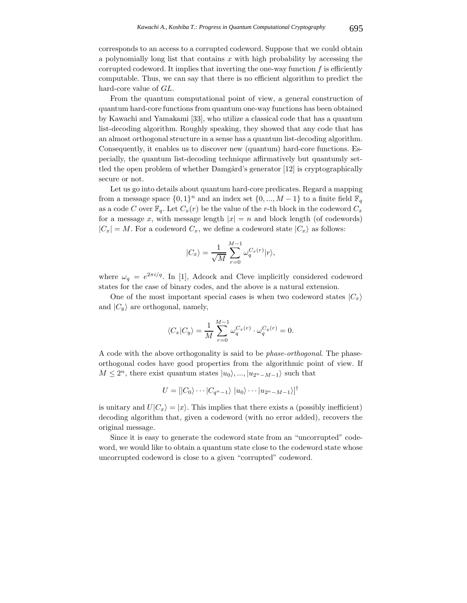corresponds to an access to a corrupted codeword. Suppose that we could obtain a polynomially long list that contains  $x$  with high probability by accessing the corrupted codeword. It implies that inverting the one-way function  $f$  is efficiently computable. Thus, we can say that there is no efficient algorithm to predict the hard-core value of GL.

From the quantum computational point of view, a general construction of quantum hard-core functions from quantum one-way functions has been obtained by Kawachi and Yamakami [33], who utilize a classical code that has a quantum list-decoding algorithm. Roughly speaking, they showed that any code that has an almost orthogonal structure in a sense has a quantum list-decoding algorithm. Consequently, it enables us to discover new (quantum) hard-core functions. Especially, the quantum list-decoding technique affirmatively but quantumly settled the open problem of whether Damgård's generator  $[12]$  is cryptographically secure or not.

Let us go into details about quantum hard-core predicates. Regard a mapping from a message space  $\{0,1\}^n$  and an index set  $\{0, ..., M-1\}$  to a finite field  $\mathbb{F}_q$ as a code C over  $\mathbb{F}_q$ . Let  $C_x(r)$  be the value of the r-th block in the codeword  $C_x$ for a message x, with message length  $|x| = n$  and block length (of codewords)  $|C_x| = M$ . For a codeword  $C_x$ , we define a codeword state  $|C_x\rangle$  as follows:

$$
|C_x\rangle = \frac{1}{\sqrt{M}} \sum_{r=0}^{M-1} \omega_q^{C_x(r)} |r\rangle,
$$

where  $\omega_q = e^{2\pi i/q}$ . In [1], Adcock and Cleve implicitly considered codeword states for the case of binary codes, and the above is a natural extension.

One of the most important special cases is when two codeword states  $|C_x\rangle$ and  $|C_y\rangle$  are orthogonal, namely,

$$
\langle C_x | C_y \rangle = \frac{1}{M} \sum_{r=0}^{M-1} \omega_q^{C_x(r)} \cdot \omega_q^{C_y(r)} = 0.
$$

A code with the above orthogonality is said to be *phase-orthogonal*. The phaseorthogonal codes have good properties from the algorithmic point of view. If  $M \leq 2^n$ , there exist quantum states  $|u_0\rangle, ..., |u_{2^n-M-1}\rangle$  such that

$$
U = [|C_0\rangle \cdots |C_{q^n-1}\rangle |u_0\rangle \cdots |u_{2^n-M-1}\rangle]^{\dagger}
$$

is unitary and  $U|C_x\rangle = |x\rangle$ . This implies that there exists a (possibly inefficient) decoding algorithm that, given a codeword (with no error added), recovers the original message.

Since it is easy to generate the codeword state from an "uncorrupted" codeword, we would like to obtain a quantum state close to the codeword state whose uncorrupted codeword is close to a given "corrupted" codeword.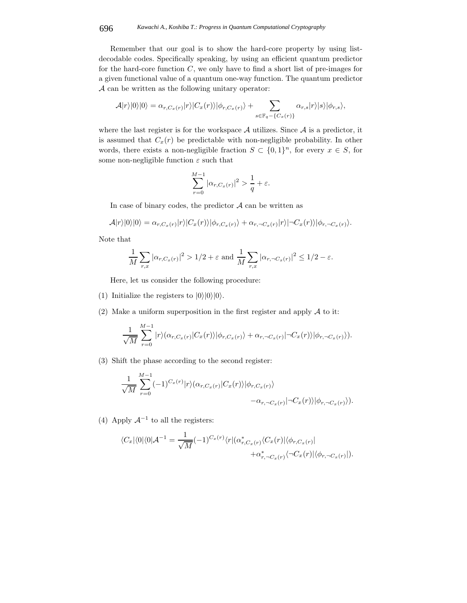#### 696 *Kawachi A., Koshiba T.: Progress in Quantum Computational Cryptography*

Remember that our goal is to show the hard-core property by using listdecodable codes. Specifically speaking, by using an efficient quantum predictor for the hard-core function  $C$ , we only have to find a short list of pre-images for a given functional value of a quantum one-way function. The quantum predictor A can be written as the following unitary operator:

$$
\mathcal{A}|r\rangle|0\rangle|0\rangle = \alpha_{r,C_x(r)}|r\rangle|C_x(r)\rangle|\phi_{r,C_x(r)}\rangle + \sum_{s \in \mathbb{F}_q - \{C_x(r)\}} \alpha_{r,s}|r\rangle|s\rangle|\phi_{r,s}\rangle,
$$

where the last register is for the workspace  $A$  utilizes. Since  $A$  is a predictor, it is assumed that  $C_x(r)$  be predictable with non-negligible probability. In other words, there exists a non-negligible fraction  $S \subset \{0,1\}^n$ , for every  $x \in S$ , for some non-negligible function  $\varepsilon$  such that

$$
\sum_{r=0}^{M-1} |\alpha_{r,C_x(r)}|^2 > \frac{1}{q} + \varepsilon.
$$

In case of binary codes, the predictor  $A$  can be written as

$$
\mathcal{A}|r\rangle|0\rangle|0\rangle = \alpha_{r,C_x(r)}|r\rangle|C_x(r)\rangle|\phi_{r,C_x(r)}\rangle + \alpha_{r,\neg C_x(r)}|r\rangle|\neg C_x(r)\rangle|\phi_{r,\neg C_x(r)}\rangle.
$$

Note that

$$
\frac{1}{M}\sum_{r,x} |\alpha_{r,C_x(r)}|^2 > 1/2 + \varepsilon \text{ and } \frac{1}{M}\sum_{r,x} |\alpha_{r,\neg C_x(r)}|^2 \le 1/2 - \varepsilon.
$$

Here, let us consider the following procedure:

- (1) Initialize the registers to  $|0\rangle|0\rangle|0\rangle$ .
- (2) Make a uniform superposition in the first register and apply  $A$  to it:

$$
\frac{1}{\sqrt{M}}\sum_{r=0}^{M-1}|r\rangle(\alpha_{r,C_x(r)}|C_x(r)\rangle|\phi_{r,C_x(r)}\rangle+\alpha_{r,-C_x(r)}|\neg C_x(r)\rangle|\phi_{r,-C_x(r)}\rangle).
$$

(3) Shift the phase according to the second register:

$$
\frac{1}{\sqrt{M}}\sum_{r=0}^{M-1}(-1)^{C_x(r)}|r\rangle(\alpha_{r,C_x(r)}|C_x(r)\rangle|\phi_{r,C_x(r)}\rangle -\alpha_{r,\neg C_x(r)}|\neg C_x(r)\rangle|\phi_{r,\neg C_x(r)}\rangle).
$$

(4) Apply  $\mathcal{A}^{-1}$  to all the registers:

$$
\langle C_x | \langle 0 | \langle 0 | \mathcal{A}^{-1} = \frac{1}{\sqrt{M}} (-1)^{C_x(r)} \langle r | (\alpha_{r,C_x(r)}^* \langle C_x(r) | \langle \phi_{r,C_x(r)} | -\alpha_{r,-C_x(r)}^* \langle \phi_{r,-C_x(r)} | \phi_{r,-C_x(r)} |).
$$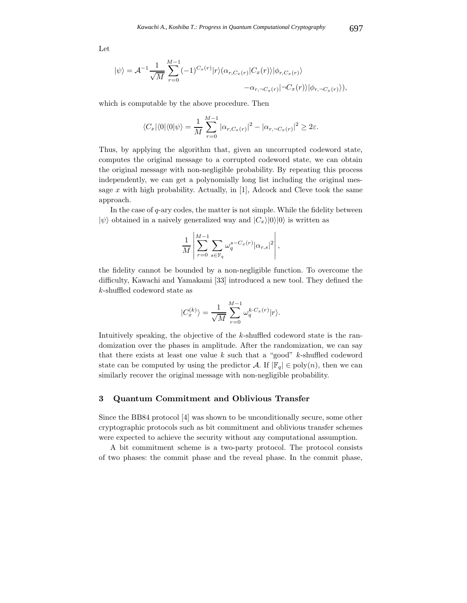Let

$$
|\psi\rangle = \mathcal{A}^{-1} \frac{1}{\sqrt{M}} \sum_{r=0}^{M-1} (-1)^{C_x(r)} |r\rangle (\alpha_{r,C_x(r)} |C_x(r)\rangle |\phi_{r,C_x(r)}\rangle - \alpha_{r,\neg C_x(r)} |\neg C_x(r)\rangle |\phi_{r,\neg C_x(r)}\rangle),
$$

which is computable by the above procedure. Then

$$
\langle C_x|\langle 0|\langle 0|\psi\rangle = \frac{1}{M}\sum_{r=0}^{M-1} |\alpha_{r,C_x(r)}|^2 - |\alpha_{r,-C_x(r)}|^2 \ge 2\varepsilon.
$$

Thus, by applying the algorithm that, given an uncorrupted codeword state, computes the original message to a corrupted codeword state, we can obtain the original message with non-negligible probability. By repeating this process independently, we can get a polynomially long list including the original message  $x$  with high probability. Actually, in [1], Adcock and Cleve took the same approach.

In the case of  $q$ -ary codes, the matter is not simple. While the fidelity between  $|\psi\rangle$  obtained in a naively generalized way and  $|C_x\rangle|0\rangle|0\rangle$  is written as

$$
\frac{1}{M} \left| \sum_{r=0}^{M-1} \sum_{s \in \mathbb{F}_q} \omega_q^{s - C_x(r)} |\alpha_{r,s}|^2 \right|,
$$

the fidelity cannot be bounded by a non-negligible function. To overcome the difficulty, Kawachi and Yamakami [33] introduced a new tool. They defined the k-shuffled codeword state as

$$
|C_x^{(k)}\rangle = \frac{1}{\sqrt{M}} \sum_{r=0}^{M-1} \omega_q^{k \cdot C_x(r)} |r\rangle.
$$

Intuitively speaking, the objective of the k-shuffled codeword state is the randomization over the phases in amplitude. After the randomization, we can say that there exists at least one value  $k$  such that a "good"  $k$ -shuffled codeword state can be computed by using the predictor A. If  $|\mathbb{F}_q| \in \text{poly}(n)$ , then we can similarly recover the original message with non-negligible probability.

## **3 Quantum Commitment and Oblivious Transfer**

Since the BB84 protocol [4] was shown to be unconditionally secure, some other cryptographic protocols such as bit commitment and oblivious transfer schemes were expected to achieve the security without any computational assumption.

A bit commitment scheme is a two-party protocol. The protocol consists of two phases: the commit phase and the reveal phase. In the commit phase,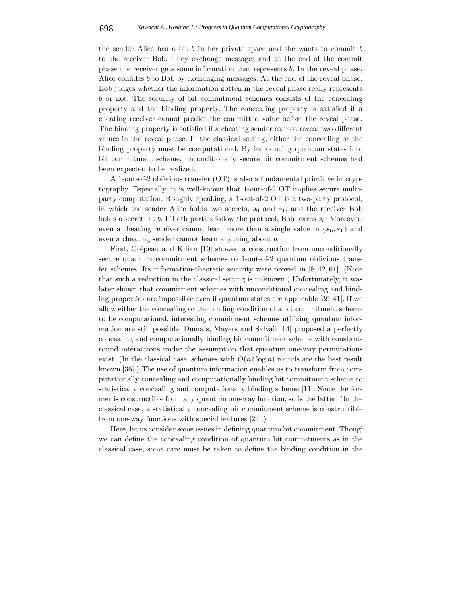the sender Alice has a bit  $b$  in her private space and she wants to commit  $b$ to the receiver Bob. They exchange messages and at the end of the commit phase the receiver gets some information that represents b. In the reveal phase, Alice confides b to Bob by exchanging messages. At the end of the reveal phase, Bob judges whether the information gotten in the reveal phase really represents b or not. The security of bit commitment schemes consists of the concealing property and the binding property. The concealing property is satisfied if a cheating receiver cannot predict the committed value before the reveal phase. The binding property is satisfied if a cheating sender cannot reveal two different values in the reveal phase. In the classical setting, either the concealing or the binding property must be computational. By introducing quantum states into bit commitment scheme, unconditionally secure bit commitment schemes had been expected to be realized.

A 1-out-of-2 oblivious transfer (OT) is also a fundamental primitive in cryptography. Especially, it is well-known that 1-out-of-2 OT implies secure multiparty computation. Roughly speaking, a 1-out-of-2 OT is a two-party protocol, in which the sender Alice holds two secrets,  $s_0$  and  $s_1$ , and the receiver Bob holds a secret bit b. If both parties follow the protocol, Bob learns  $s<sub>b</sub>$ . Moreover, even a cheating receiver cannot learn more than a single value in  $\{s_0, s_1\}$  and even a cheating sender cannot learn anything about b.

First, Crépeau and Kilian [10] showed a construction from unconditionally secure quantum commitment schemes to 1-out-of-2 quantum oblivious transfer schemes. Its information-theoretic security were proved in [8, 42, 61]. (Note that such a reduction in the classical setting is unknown.) Unfortunately, it was later shown that commitment schemes with unconditional concealing and binding properties are impossible even if quantum states are applicable [39,41]. If we allow either the concealing or the binding condition of a bit commitment scheme to be computational, interesting commitment schemes utilizing quantum information are still possible. Dumais, Mayers and Salvail [14] proposed a perfectly concealing and computationally binding bit commitment scheme with constantround interactions under the assumption that quantum one-way permutations exist. (In the classical case, schemes with  $O(n/\log n)$  rounds are the best result known [36].) The use of quantum information enables us to transform from computationally concealing and computationally binding bit commitment scheme to statistically concealing and computationally binding scheme [11]. Since the former is constructible from any quantum one-way function, so is the latter. (In the classical case, a statistically concealing bit commitment scheme is constructible from one-way functions with special features [24].)

Here, let us consider some issues in defining quantum bit commitment. Though we can define the concealing condition of quantum bit commitments as in the classical case, some care must be taken to define the binding condition in the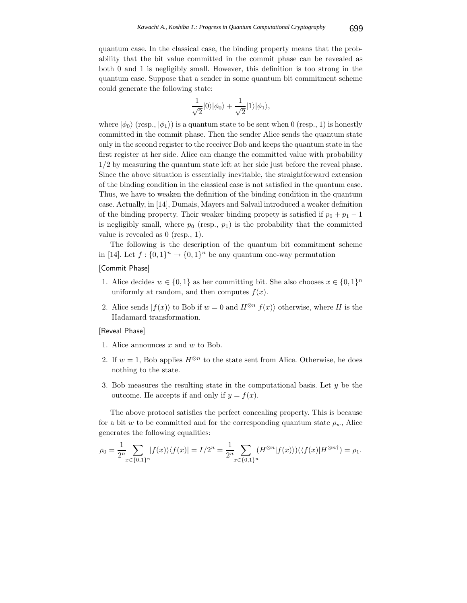quantum case. In the classical case, the binding property means that the probability that the bit value committed in the commit phase can be revealed as both 0 and 1 is negligibly small. However, this definition is too strong in the quantum case. Suppose that a sender in some quantum bit commitment scheme could generate the following state:

$$
\frac{1}{\sqrt{2}}|0\rangle|\phi_0\rangle + \frac{1}{\sqrt{2}}|1\rangle|\phi_1\rangle,
$$

where  $|\phi_0\rangle$  (resp.,  $|\phi_1\rangle$ ) is a quantum state to be sent when 0 (resp., 1) is honestly committed in the commit phase. Then the sender Alice sends the quantum state only in the second register to the receiver Bob and keeps the quantum state in the first register at her side. Alice can change the committed value with probability 1/2 by measuring the quantum state left at her side just before the reveal phase. Since the above situation is essentially inevitable, the straightforward extension of the binding condition in the classical case is not satisfied in the quantum case. Thus, we have to weaken the definition of the binding condition in the quantum case. Actually, in [14], Dumais, Mayers and Salvail introduced a weaker definition of the binding property. Their weaker binding propety is satisfied if  $p_0 + p_1 - 1$ is negligibly small, where  $p_0$  (resp.,  $p_1$ ) is the probability that the committed value is revealed as 0 (resp., 1).

The following is the description of the quantum bit commitment scheme in [14]. Let  $f: \{0,1\}^n \to \{0,1\}^n$  be any quantum one-way permutation

## [Commit Phase]

- 1. Alice decides  $w \in \{0, 1\}$  as her committing bit. She also chooses  $x \in \{0, 1\}^n$ uniformly at random, and then computes  $f(x)$ .
- 2. Alice sends  $|f(x)\rangle$  to Bob if  $w = 0$  and  $H^{\otimes n}|f(x)\rangle$  otherwise, where H is the Hadamard transformation.

#### [Reveal Phase]

- 1. Alice announces  $x$  and  $w$  to Bob.
- 2. If  $w = 1$ , Bob applies  $H^{\otimes n}$  to the state sent from Alice. Otherwise, he does nothing to the state.
- 3. Bob measures the resulting state in the computational basis. Let  $y$  be the outcome. He accepts if and only if  $y = f(x)$ .

The above protocol satisfies the perfect concealing property. This is because for a bit w to be committed and for the corresponding quantum state  $\rho_w$ , Alice generates the following equalities:

$$
\rho_0 = \frac{1}{2^n} \sum_{x \in \{0,1\}^n} |f(x)\rangle \langle f(x)| = I/2^n = \frac{1}{2^n} \sum_{x \in \{0,1\}^n} (H^{\otimes n} |f(x)\rangle) (\langle f(x)| H^{\otimes n\dagger}) = \rho_1.
$$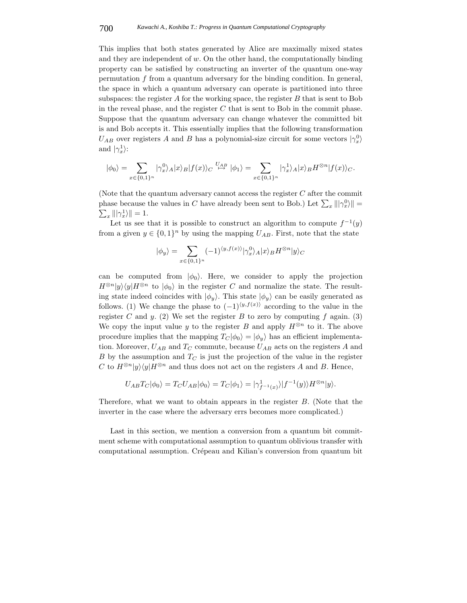This implies that both states generated by Alice are maximally mixed states and they are independent of  $w$ . On the other hand, the computationally binding property can be satisfied by constructing an inverter of the quantum one-way permutation f from a quantum adversary for the binding condition. In general, the space in which a quantum adversary can operate is partitioned into three subspaces: the register  $A$  for the working space, the register  $B$  that is sent to Bob in the reveal phase, and the register  $C$  that is sent to Bob in the commit phase. Suppose that the quantum adversary can change whatever the committed bit is and Bob accepts it. This essentially implies that the following transformation  $U_{AB}$  over registers A and B has a polynomial-size circuit for some vectors  $|\gamma_x^0\rangle$ and  $|\gamma_x^1\rangle$ :

$$
|\phi_0\rangle = \sum_{x \in \{0,1\}^n} |\gamma_x^0\rangle_A |x\rangle_B |f(x)\rangle_C \stackrel{U_{AB}}{\mapsto} |\phi_1\rangle = \sum_{x \in \{0,1\}^n} |\gamma_x^1\rangle_A |x\rangle_B H^{\otimes n} |f(x)\rangle_C.
$$

(Note that the quantum adversary cannot access the register  $C$  after the commit phase because the values in C have already been sent to Bob.) Let  $\sum_x ||\gamma_x^0\rangle|| =$  $\sum_x |||\gamma_x^1\rangle|| = 1.$ 

Let us see that it is possible to construct an algorithm to compute  $f^{-1}(y)$ from a given  $y \in \{0,1\}^n$  by using the mapping  $U_{AB}$ . First, note that the state

$$
|\phi_y\rangle = \sum_{x \in \{0,1\}^n} (-1)^{\langle y, f(x) \rangle} |\gamma_x^0\rangle_A |x\rangle_B H^{\otimes n} |y\rangle_C
$$

can be computed from  $|\phi_0\rangle$ . Here, we consider to apply the projection  $H^{\otimes n}|y\rangle\langle y|H^{\otimes n}$  to  $|\phi_0\rangle$  in the register C and normalize the state. The resulting state indeed coincides with  $|\phi_y\rangle$ . This state  $|\phi_y\rangle$  can be easily generated as follows. (1) We change the phase to  $(-1)^{\langle y, f(x) \rangle}$  according to the value in the register C and y. (2) We set the register B to zero by computing f again. (3) We copy the input value y to the register B and apply  $H^{\otimes n}$  to it. The above procedure implies that the mapping  $T_C|\phi_0\rangle = |\phi_u\rangle$  has an efficient implementation. Moreover,  $U_{AB}$  and  $T_C$  commute, because  $U_{AB}$  acts on the registers A and B by the assumption and  $T_C$  is just the projection of the value in the register C to  $H^{\otimes n}|y\rangle\langle y|H^{\otimes n}$  and thus does not act on the registers A and B. Hence,

$$
U_{AB}T_C|\phi_0\rangle = T_C U_{AB}|\phi_0\rangle = T_C|\phi_1\rangle = |\gamma^1_{f^{-1}(x)}\rangle |f^{-1}(y)\rangle H^{\otimes n}|y\rangle.
$$

Therefore, what we want to obtain appears in the register B. (Note that the inverter in the case where the adversary errs becomes more complicated.)

Last in this section, we mention a conversion from a quantum bit commitment scheme with computational assumption to quantum oblivious transfer with computational assumption. Crépeau and Kilian's conversion from quantum bit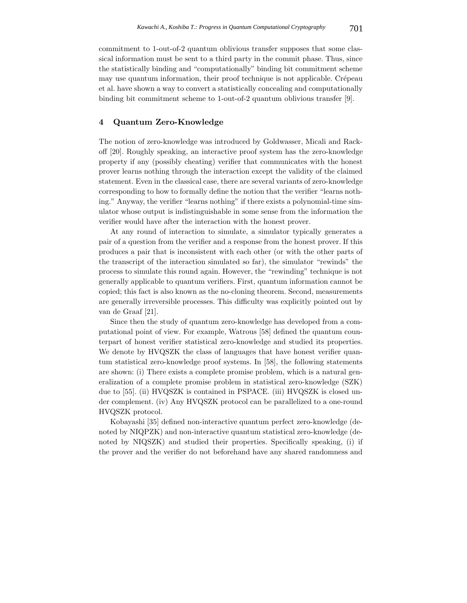commitment to 1-out-of-2 quantum oblivious transfer supposes that some classical information must be sent to a third party in the commit phase. Thus, since the statistically binding and "computationally" binding bit commitment scheme may use quantum information, their proof technique is not applicable. Crépeau et al. have shown a way to convert a statistically concealing and computationally binding bit commitment scheme to 1-out-of-2 quantum oblivious transfer [9].

## **4 Quantum Zero-Knowledge**

The notion of zero-knowledge was introduced by Goldwasser, Micali and Rackoff [20]. Roughly speaking, an interactive proof system has the zero-knowledge property if any (possibly cheating) verifier that communicates with the honest prover learns nothing through the interaction except the validity of the claimed statement. Even in the classical case, there are several variants of zero-knowledge corresponding to how to formally define the notion that the verifier "learns nothing." Anyway, the verifier "learns nothing" if there exists a polynomial-time simulator whose output is indistinguishable in some sense from the information the verifier would have after the interaction with the honest prover.

At any round of interaction to simulate, a simulator typically generates a pair of a question from the verifier and a response from the honest prover. If this produces a pair that is inconsistent with each other (or with the other parts of the transcript of the interaction simulated so far), the simulator "rewinds" the process to simulate this round again. However, the "rewinding" technique is not generally applicable to quantum verifiers. First, quantum information cannot be copied; this fact is also known as the no-cloning theorem. Second, measurements are generally irreversible processes. This difficulty was explicitly pointed out by van de Graaf [21].

Since then the study of quantum zero-knowledge has developed from a computational point of view. For example, Watrous [58] defined the quantum counterpart of honest verifier statistical zero-knowledge and studied its properties. We denote by HVQSZK the class of languages that have honest verifier quantum statistical zero-knowledge proof systems. In [58], the following statements are shown: (i) There exists a complete promise problem, which is a natural generalization of a complete promise problem in statistical zero-knowledge (SZK) due to [55]. (ii) HVQSZK is contained in PSPACE. (iii) HVQSZK is closed under complement. (iv) Any HVQSZK protocol can be parallelized to a one-round HVQSZK protocol.

Kobayashi [35] defined non-interactive quantum perfect zero-knowledge (denoted by NIQPZK) and non-interactive quantum statistical zero-knowledge (denoted by NIQSZK) and studied their properties. Specifically speaking, (i) if the prover and the verifier do not beforehand have any shared randomness and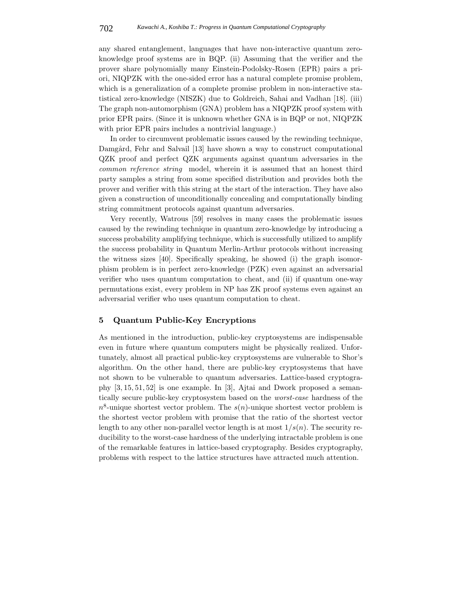any shared entanglement, languages that have non-interactive quantum zeroknowledge proof systems are in BQP. (ii) Assuming that the verifier and the prover share polynomially many Einstein-Podolsky-Rosen (EPR) pairs a priori, NIQPZK with the one-sided error has a natural complete promise problem, which is a generalization of a complete promise problem in non-interactive statistical zero-knowledge (NISZK) due to Goldreich, Sahai and Vadhan [18]. (iii) The graph non-automorphism (GNA) problem has a NIQPZK proof system with prior EPR pairs. (Since it is unknown whether GNA is in BQP or not, NIQPZK with prior EPR pairs includes a nontrivial language.)

In order to circumvent problematic issues caused by the rewinding technique, Damgård, Fehr and Salvail [13] have shown a way to construct computational QZK proof and perfect QZK arguments against quantum adversaries in the *common reference string* model, wherein it is assumed that an honest third party samples a string from some specified distribution and provides both the prover and verifier with this string at the start of the interaction. They have also given a construction of unconditionally concealing and computationally binding string commitment protocols against quantum adversaries.

Very recently, Watrous [59] resolves in many cases the problematic issues caused by the rewinding technique in quantum zero-knowledge by introducing a success probability amplifying technique, which is successfully utilized to amplify the success probability in Quantum Merlin-Arthur protocols without increasing the witness sizes [40]. Specifically speaking, he showed (i) the graph isomorphism problem is in perfect zero-knowledge (PZK) even against an adversarial verifier who uses quantum computation to cheat, and (ii) if quantum one-way permutations exist, every problem in NP has ZK proof systems even against an adversarial verifier who uses quantum computation to cheat.

## **5 Quantum Public-Key Encryptions**

As mentioned in the introduction, public-key cryptosystems are indispensable even in future where quantum computers might be physically realized. Unfortunately, almost all practical public-key cryptosystems are vulnerable to Shor's algorithm. On the other hand, there are public-key cryptosystems that have not shown to be vulnerable to quantum adversaries. Lattice-based cryptography [3, 15, 51, 52] is one example. In [3], Ajtai and Dwork proposed a semantically secure public-key cryptosystem based on the *worst-case* hardness of the  $n^8$ -unique shortest vector problem. The  $s(n)$ -unique shortest vector problem is the shortest vector problem with promise that the ratio of the shortest vector length to any other non-parallel vector length is at most  $1/s(n)$ . The security reducibility to the worst-case hardness of the underlying intractable problem is one of the remarkable features in lattice-based cryptography. Besides cryptography, problems with respect to the lattice structures have attracted much attention.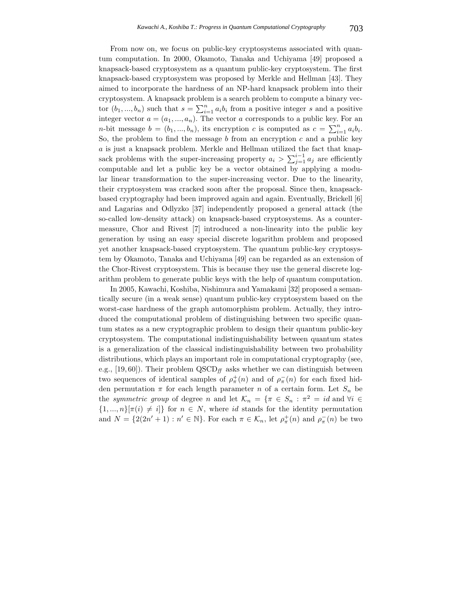From now on, we focus on public-key cryptosystems associated with quantum computation. In 2000, Okamoto, Tanaka and Uchiyama [49] proposed a knapsack-based cryptosystem as a quantum public-key cryptosystem. The first knapsack-based cryptosystem was proposed by Merkle and Hellman [43]. They aimed to incorporate the hardness of an NP-hard knapsack problem into their cryptosystem. A knapsack problem is a search problem to compute a binary vector  $(b_1, ..., b_n)$  such that  $s = \sum_{i=1}^n a_i b_i$  from a positive integer s and a positive<br>integer yester  $s = (s_1, ..., s_n)$ . The yester s corresponds to a public level for an integer vector  $a = (a_1, ..., a_n)$ . The vector a corresponds to a public key. For an *n*-bit message  $b = (b_1, ..., b_n)$ , its encryption c is computed as  $c = \sum_{i=1}^n a_i b_i$ . So, the problem to find the message  $b$  from an encryption  $c$  and a public key a is just a knapsack problem. Merkle and Hellman utilized the fact that knapsack problems with the super-increasing property  $a_i > \sum_{j=1}^{i-1} a_j$  are efficiently computable and let a public key be a vector obtained by applying a modular linear transformation to the super-increasing vector. Due to the linearity, their cryptosystem was cracked soon after the proposal. Since then, knapsackbased cryptography had been improved again and again. Eventually, Brickell [6] and Lagarias and Odlyzko [37] independently proposed a general attack (the so-called low-density attack) on knapsack-based cryptosystems. As a countermeasure, Chor and Rivest [7] introduced a non-linearity into the public key generation by using an easy special discrete logarithm problem and proposed yet another knapsack-based cryptosystem. The quantum public-key cryptosystem by Okamoto, Tanaka and Uchiyama [49] can be regarded as an extension of the Chor-Rivest cryptosystem. This is because they use the general discrete logarithm problem to generate public keys with the help of quantum computation.

In 2005, Kawachi, Koshiba, Nishimura and Yamakami [32] proposed a semantically secure (in a weak sense) quantum public-key cryptosystem based on the worst-case hardness of the graph automorphism problem. Actually, they introduced the computational problem of distinguishing between two specific quantum states as a new cryptographic problem to design their quantum public-key cryptosystem. The computational indistinguishability between quantum states is a generalization of the classical indistinguishability between two probability distributions, which plays an important role in computational cryptography (see, e.g., [19,60]). Their problem  $\text{QSCD}_{ff}$  asks whether we can distinguish between two sequences of identical samples of  $\rho^+_{\pi}(n)$  and of  $\rho^-_{\pi}(n)$  for each fixed hidden permutation  $\pi$  for each length parameter n of a certain form. Let  $S_n$  be the *symmetric group* of degree n and let  $\mathcal{K}_n = \{\pi \in S_n : \pi^2 = id \text{ and } \forall i \in$  $\{1, ..., n\}[\pi(i) \neq i]$  for  $n \in N$ , where id stands for the identity permutation and  $N = \{2(2n'+1) : n' \in \mathbb{N}\}\.$  For each  $\pi \in \mathcal{K}_n$ , let  $\rho^+_{\pi}(n)$  and  $\rho^-_{\pi}(n)$  be two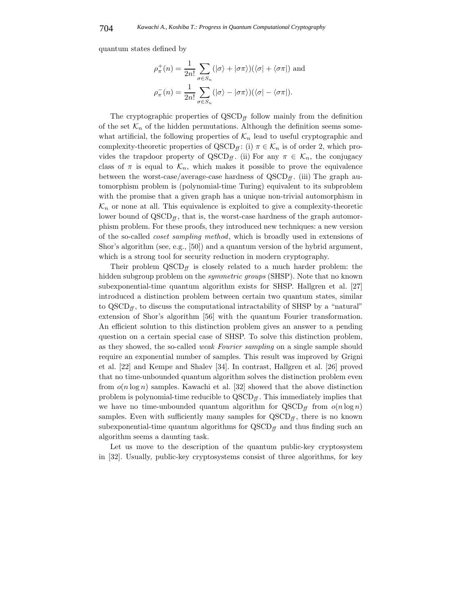quantum states defined by

$$
\rho_{\pi}^{+}(n) = \frac{1}{2n!} \sum_{\sigma \in S_n} (|\sigma\rangle + |\sigma\pi\rangle)(\langle \sigma| + \langle \sigma\pi|)
$$
 and  

$$
\rho_{\pi}^{-}(n) = \frac{1}{2n!} \sum_{\sigma \in S_n} (|\sigma\rangle - |\sigma\pi\rangle)(\langle \sigma| - \langle \sigma\pi|).
$$

The cryptographic properties of  $QSCD<sub>ff</sub>$  follow mainly from the definition of the set  $\mathcal{K}_n$  of the hidden permutations. Although the definition seems somewhat artificial, the following properties of  $\mathcal{K}_n$  lead to useful cryptographic and complexity-theoretic properties of  $QSCD<sub>ff</sub>$ : (i)  $\pi \in \mathcal{K}<sub>n</sub>$  is of order 2, which provides the trapdoor property of QSCD<sub>ff</sub>. (ii) For any  $\pi \in \mathcal{K}_n$ , the conjugacy class of  $\pi$  is equal to  $\mathcal{K}_n$ , which makes it possible to prove the equivalence between the worst-case/average-case hardness of  $QSCD<sub>f</sub>$ . (iii) The graph automorphism problem is (polynomial-time Turing) equivalent to its subproblem with the promise that a given graph has a unique non-trivial automorphism in  $\mathcal{K}_n$  or none at all. This equivalence is exploited to give a complexity-theoretic lower bound of  $QSCD<sub>ff</sub>$ , that is, the worst-case hardness of the graph automorphism problem. For these proofs, they introduced new techniques: a new version of the so-called *coset sampling method*, which is broadly used in extensions of Shor's algorithm (see, e.g., [50]) and a quantum version of the hybrid argument, which is a strong tool for security reduction in modern cryptography.

Their problem  $\text{QSCD}_f$  is closely related to a much harder problem: the hidden subgroup problem on the *symmetric groups* (SHSP). Note that no known subexponential-time quantum algorithm exists for SHSP. Hallgren et al. [27] introduced a distinction problem between certain two quantum states, similar to  $QSCD<sub>f</sub>$ , to discuss the computational intractability of SHSP by a "natural" extension of Shor's algorithm [56] with the quantum Fourier transformation. An efficient solution to this distinction problem gives an answer to a pending question on a certain special case of SHSP. To solve this distinction problem, as they showed, the so-called *weak Fourier sampling* on a single sample should require an exponential number of samples. This result was improved by Grigni et al. [22] and Kempe and Shalev [34]. In contrast, Hallgren et al. [26] proved that no time-unbounded quantum algorithm solves the distinction problem even from  $o(n \log n)$  samples. Kawachi et al. [32] showed that the above distinction problem is polynomial-time reducible to  $QSCD<sub>ff</sub>$ . This immediately implies that we have no time-unbounded quantum algorithm for  $QSCD<sub>f{f</sub>}$  from  $o(n \log n)$ samples. Even with sufficiently many samples for  $QSCD<sub>ff</sub>$ , there is no known subexponential-time quantum algorithms for  $QSCD<sub>ff</sub>$  and thus finding such an algorithm seems a daunting task.

Let us move to the description of the quantum public-key cryptosystem in [32]. Usually, public-key cryptosystems consist of three algorithms, for key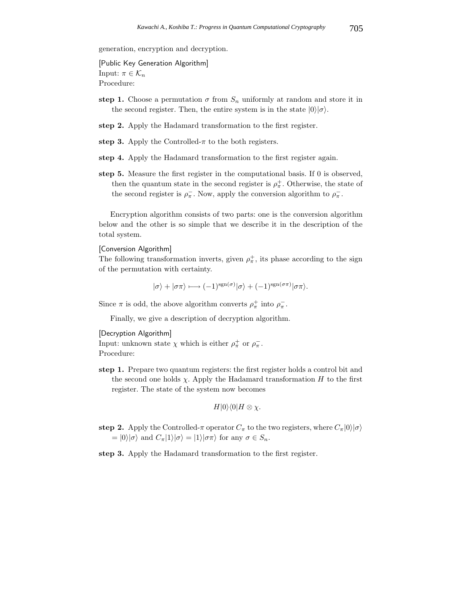generation, encryption and decryption.

Input:  $\pi \in \mathcal{K}_n$ Procedure:

- **step 1.** Choose a permutation  $\sigma$  from  $S_n$  uniformly at random and store it in the second register. Then, the entire system is in the state  $|0\rangle|\sigma\rangle$ .
- **step 2.** Apply the Hadamard transformation to the first register.
- step 3. Apply the Controlled- $\pi$  to the both registers.
- **step 4.** Apply the Hadamard transformation to the first register again.
- **step 5.** Measure the first register in the computational basis. If 0 is observed, then the quantum state in the second register is  $\rho^+_{\pi}$ . Otherwise, the state of the second register is  $\rho_{\pi}^-$ . Now, apply the conversion algorithm to  $\rho_{\pi}^-$ .

Encryption algorithm consists of two parts: one is the conversion algorithm below and the other is so simple that we describe it in the description of the total system.

The following transformation inverts, given  $\rho^{\pm}_{\pi}$ , its phase according to the sign of the permutation with certainty.

 $|\sigma\rangle + |\sigma\pi\rangle \longmapsto (-1)^{\text{sgn}(\sigma)} |\sigma\rangle + (-1)^{\text{sgn}(\sigma\pi)} |\sigma\pi\rangle.$ 

Since  $\pi$  is odd, the above algorithm converts  $\rho_{\pi}^{+}$  into  $\rho_{\pi}^{-}$ .

Finally, we give a description of decryption algorithm.

Input: unknown state  $\chi$  which is either  $\rho^+_{\pi}$  or  $\rho^-_{\pi}$ . Procedure:

**step 1.** Prepare two quantum registers: the first register holds a control bit and the second one holds  $\chi$ . Apply the Hadamard transformation H to the first register. The state of the system now becomes

$$
H|0\rangle\langle 0|H \otimes \chi.
$$

**step 2.** Apply the Controlled-π operator  $C_\pi$  to the two registers, where  $C_\pi|0\rangle|\sigma\rangle$  $= |0\rangle|\sigma\rangle$  and  $C_{\pi}|1\rangle|\sigma\rangle = |1\rangle|\sigma\pi\rangle$  for any  $\sigma \in S_n$ .

**step 3.** Apply the Hadamard transformation to the first register.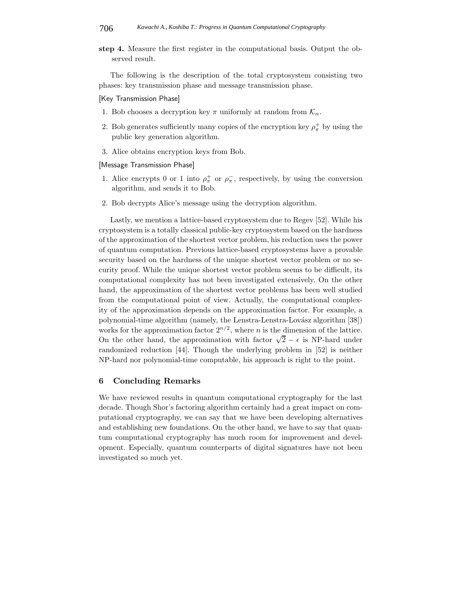**step 4.** Measure the first register in the computational basis. Output the observed result.

The following is the description of the total cryptosystem consisting two phases: key transmission phase and message transmission phase.

## [Key Transmission Phase]

- 1. Bob chooses a decryption key  $\pi$  uniformly at random from  $\mathcal{K}_n$ .
- 2. Bob generates sufficiently many copies of the encryption key  $\rho^+_{\pi}$  by using the public key generation algorithm.
- 3. Alice obtains encryption keys from Bob.

- 1. Alice encrypts 0 or 1 into  $\rho^+_{\pi}$  or  $\rho^-_{\pi}$ , respectively, by using the conversion algorithm, and sends it to Bob.
- 2. Bob decrypts Alice's message using the decryption algorithm.

Lastly, we mention a lattice-based cryptosystem due to Regev [52]. While his cryptosystem is a totally classical public-key cryptosystem based on the hardness of the approximation of the shortest vector problem, his reduction uses the power of quantum computation. Previous lattice-based cryptosystems have a provable security based on the hardness of the unique shortest vector problem or no security proof. While the unique shortest vector problem seems to be difficult, its computational complexity has not been investigated extensively. On the other hand, the approximation of the shortest vector problems has been well studied from the computational point of view. Actually, the computational complexity of the approximation depends on the approximation factor. For example, a polynomial-time algorithm (namely, the Lenstra-Lenstra-Lovász algorithm [38]) works for the approximation factor  $2^{n/2}$ , where *n* is the dimension of the lattice. On the other hand, the approximation with factor  $\sqrt{2} - \epsilon$  is NP-hard under randomized reduction [44]. Though the underlying problem in [52] is neither NP-hard nor polynomial-time computable, his approach is right to the point.

## **6 Concluding Remarks**

We have reviewed results in quantum computational cryptography for the last decade. Though Shor's factoring algorithm certainly had a great impact on computational cryptography, we can say that we have been developing alternatives and establishing new foundations. On the other hand, we have to say that quantum computational cryptography has much room for improvement and development. Especially, quantum counterparts of digital signatures have not been investigated so much yet.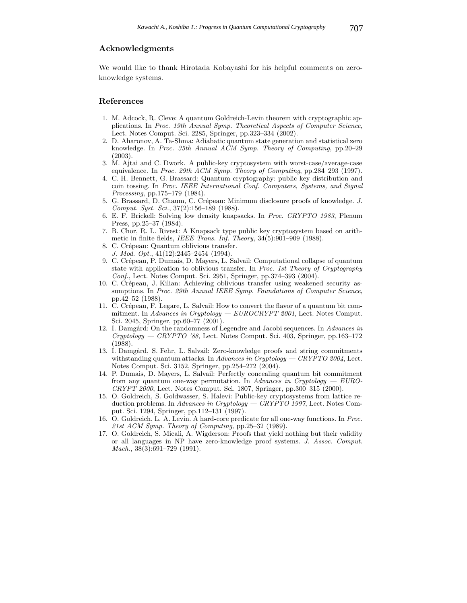## **Acknowledgments**

We would like to thank Hirotada Kobayashi for his helpful comments on zeroknowledge systems.

#### **References**

- 1. M. Adcock, R. Cleve: A quantum Goldreich-Levin theorem with cryptographic applications. In *Proc. 19th Annual Symp. Theoretical Aspects of Computer Science*, Lect. Notes Comput. Sci. 2285, Springer, pp.323–334 (2002).
- 2. D. Aharonov, A. Ta-Shma: Adiabatic quantum state generation and statistical zero knowledge. In *Proc. 35th Annual ACM Symp. Theory of Computing*, pp.20–29 (2003).
- 3. M. Ajtai and C. Dwork. A public-key cryptosystem with worst-case/average-case equivalence. In *Proc. 29th ACM Symp. Theory of Computing*, pp.284–293 (1997).
- 4. C. H. Bennett, G. Brassard: Quantum cryptography: public key distribution and coin tossing. In *Proc. IEEE International Conf. Computers, Systems, and Signal Processing*, pp.175–179 (1984).
- 5. G. Brassard, D. Chaum, C. Crépeau: Minimum disclosure proofs of knowledge. *J. Comput. Syst. Sci.*, 37(2):156–189 (1988).
- 6. E. F. Brickell: Solving low density knapsacks. In *Proc. CRYPTO 1983*, Plenum Press, pp.25–37 (1984).
- 7. B. Chor, R. L. Rivest: A Knapsack type public key cryptosystem based on arithmetic in finite fields, *IEEE Trans. Inf. Theory*, 34(5):901–909 (1988).
- 8. C. Crépeau: Quantum oblivious transfer.
	- *J. Mod. Opt.*, 41(12):2445–2454 (1994).
- 9. C. Cr´epeau, P. Dumais, D. Mayers, L. Salvail: Computational collapse of quantum state with application to oblivious transfer. In *Proc. 1st Theory of Cryptography Conf.*, Lect. Notes Comput. Sci. 2951, Springer, pp.374–393 (2004).
- 10. C. Crépeau, J. Kilian: Achieving oblivious transfer using weakened security assumptions. In *Proc. 29th Annual IEEE Symp. Foundations of Computer Science*, pp.42–52 (1988).
- 11. C. Crépeau, F. Legare, L. Salvail: How to convert the flavor of a quantum bit commitment. In *Advances in Cryptology — EUROCRYPT 2001*, Lect. Notes Comput. Sci. 2045, Springer, pp.60–77 (2001).
- 12. I. Damgård: On the randomness of Legendre and Jacobi sequences. In *Advances in Cryptology — CRYPTO '88*, Lect. Notes Comput. Sci. 403, Springer, pp.163–172 (1988).
- 13. I. Damgård, S. Fehr, L. Salvail: Zero-knowledge proofs and string commitments withstanding quantum attacks. In *Advances in Cryptology — CRYPTO 2004*, Lect. Notes Comput. Sci. 3152, Springer, pp.254–272 (2004).
- 14. P. Dumais, D. Mayers, L. Salvail: Perfectly concealing quantum bit commitment from any quantum one-way permutation. In *Advances in Cryptology — EURO-CRYPT 2000*, Lect. Notes Comput. Sci. 1807, Springer, pp.300–315 (2000).
- 15. O. Goldreich, S. Goldwasser, S. Halevi: Public-key cryptosystems from lattice reduction problems. In *Advances in Cryptology — CRYPTO 1997*, Lect. Notes Comput. Sci. 1294, Springer, pp.112–131 (1997).
- 16. O. Goldreich, L. A. Levin. A hard-core predicate for all one-way functions. In *Proc. 21st ACM Symp. Theory of Computing*, pp.25–32 (1989).
- 17. O. Goldreich, S. Micali, A. Wigderson: Proofs that yield nothing but their validity or all languages in NP have zero-knowledge proof systems. *J. Assoc. Comput. Mach.*, 38(3):691–729 (1991).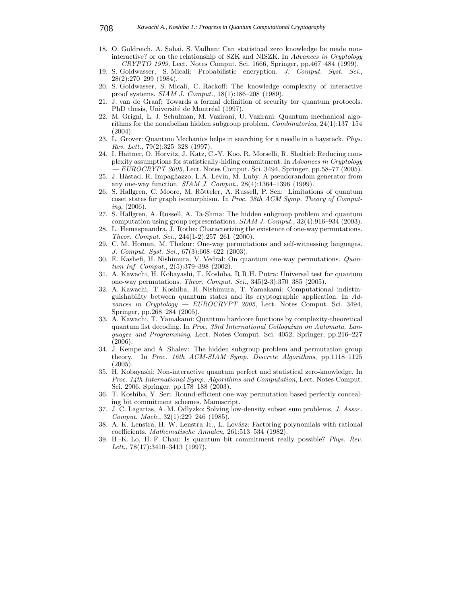- 18. O. Goldreich, A. Sahai, S. Vadhan: Can statistical zero knowledge be made noninteractive? or on the relationship of SZK and NISZK. In *Advances in Cryptology — CRYPTO 1999*, Lect. Notes Comput. Sci. 1666, Springer, pp.467–484 (1999).
- 19. S. Goldwasser, S. Micali: Probabilistic encryption. *J. Comput. Syst. Sci.*, 28(2):270–299 (1984).
- 20. S. Goldwasser, S. Micali, C. Rackoff: The knowledge complexity of interactive proof systems. *SIAM J. Comput.*, 18(1):186–208 (1989).
- 21. J. van de Graaf: Towards a formal definition of security for quantum protocols. PhD thesis, Université de Montréal (1997).
- 22. M. Grigni, L. J. Schulman, M. Vazirani, U. Vazirani: Quantum mechanical algorithms for the nonabelian hidden subgroup problem. *Combinatorica*, 24(1):137–154 (2004).
- 23. L. Grover: Quantum Mechanics helps in searching for a needle in a haystack. *Phys. Rev. Lett.*, 79(2):325–328 (1997).
- 24. I. Haitner, O. Horvitz, J. Katz, C.-Y. Koo, R. Morselli, R. Shaltiel: Reducing complexity assumptions for statistically-hiding commitment. In *Advances in Cryptology — EUROCRYPT 2005*, Lect. Notes Comput. Sci. 3494, Springer, pp.58–77 (2005).
- 25. J. Håstad, R. Impagliazzo, L.A. Levin, M. Luby: A pseudorandom generator from any one-way function. *SIAM J. Comput.*, 28(4):1364–1396 (1999).
- 26. S. Hallgren, C. Moore, M. Rötteler, A. Russell, P. Sen: Limitations of quantum coset states for graph isomorphism. In *Proc. 38th ACM Symp. Theory of Computing*, (2006).
- 27. S. Hallgren, A. Russell, A. Ta-Shma: The hidden subgroup problem and quantum computation using group representations. *SIAM J. Comput.*, 32(4):916–934 (2003).
- 28. L. Hemaspaandra, J. Rothe: Characterizing the existence of one-way permutations. *Theor. Comput. Sci.*, 244(1-2):257–261 (2000).
- 29. C. M. Homan, M. Thakur: One-way permutations and self-witnessing languages. *J. Comput. Syst. Sci.*, 67(3):608–622 (2003).
- 30. E. Kashefi, H. Nishimura, V. Vedral: On quantum one-way permutations. *Quantum Inf. Comput.*, 2(5):379–398 (2002).
- 31. A. Kawachi, H. Kobayashi, T. Koshiba, R.R.H. Putra: Universal test for quantum one-way permutations. *Theor. Comput. Sci.*, 345(2-3):370–385 (2005).
- 32. A. Kawachi, T. Koshiba, H. Nishimura, T. Yamakami: Computational indistinguishability between quantum states and its cryptographic application. In *Advances in Cryptology — EUROCRYPT 2005*, Lect. Notes Comput. Sci. 3494, Springer, pp.268–284 (2005).
- 33. A. Kawachi, T. Yamakami: Quantum hardcore functions by complexity-theoretical quantum list decoding. In *Proc. 33rd International Colloquium on Automata, Languages and Programming*, Lect. Notes Comput. Sci. 4052, Springer, pp.216–227 (2006).
- 34. J. Kempe and A. Shalev: The hidden subgroup problem and permutation group theory. In *Proc. 16th ACM-SIAM Symp. Discrete Algorithms*, pp.1118–1125 (2005).
- 35. H. Kobayashi: Non-interactive quantum perfect and statistical zero-knowledge. In *Proc. 14th International Symp. Algorithms and Computation*, Lect. Notes Comput. Sci. 2906, Springer, pp.178–188 (2003).
- 36. T. Koshiba, Y. Seri: Round-efficient one-way permutation based perfectly concealing bit commitment schemes. Manuscript.
- 37. J. C. Lagarias, A. M. Odlyzko: Solving low-density subset sum problems. *J. Assoc. Comput. Mach.*, 32(1):229–246 (1985).
- 38. A. K. Lenstra, H. W. Lenstra Jr., L. Lovász: Factoring polynomials with rational coefficients. *Mathematische Annalen*, 261:513–534 (1982).
- 39. H.-K. Lo, H. F. Chau: Is quantum bit commitment really possible? *Phys. Rev. Lett.*, 78(17):3410–3413 (1997).